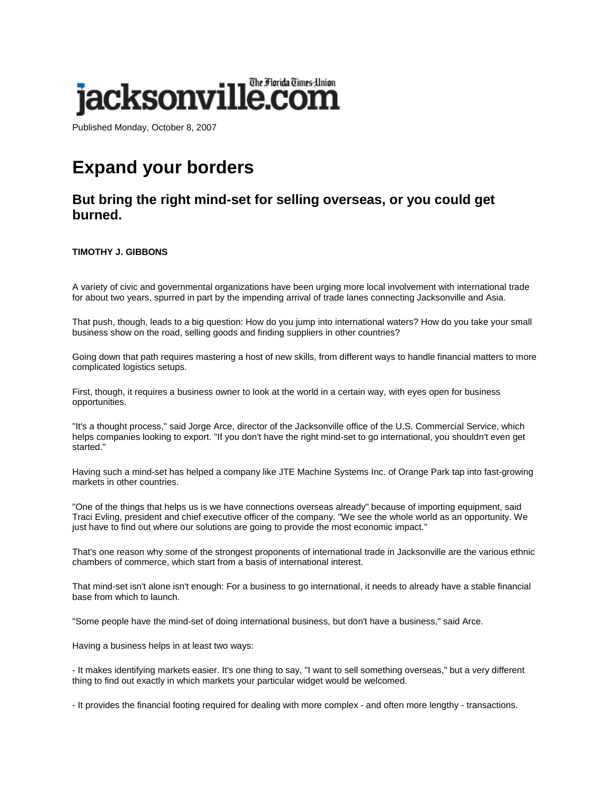

Published Monday, October 8, 2007

## **Expand your borders**

## **But bring the right mind-set for selling overseas, or you could get burned.**

## **TIMOTHY J. GIBBONS**

A variety of civic and governmental organizations have been urging more local involvement with international trade for about two years, spurred in part by the impending arrival of trade lanes connecting Jacksonville and Asia.

That push, though, leads to a big question: How do you jump into international waters? How do you take your small business show on the road, selling goods and finding suppliers in other countries?

Going down that path requires mastering a host of new skills, from different ways to handle financial matters to more complicated logistics setups.

First, though, it requires a business owner to look at the world in a certain way, with eyes open for business opportunities.

"It's a thought process," said Jorge Arce, director of the Jacksonville office of the U.S. Commercial Service, which helps companies looking to export. "If you don't have the right mind-set to go international, you shouldn't even get started."

Having such a mind-set has helped a company like JTE Machine Systems Inc. of Orange Park tap into fast-growing markets in other countries.

"One of the things that helps us is we have connections overseas already" because of importing equipment, said Traci Evling, president and chief executive officer of the company. "We see the whole world as an opportunity. We just have to find out where our solutions are going to provide the most economic impact."

That's one reason why some of the strongest proponents of international trade in Jacksonville are the various ethnic chambers of commerce, which start from a basis of international interest.

That mind-set isn't alone isn't enough: For a business to go international, it needs to already have a stable financial base from which to launch.

"Some people have the mind-set of doing international business, but don't have a business," said Arce.

Having a business helps in at least two ways:

- It makes identifying markets easier. It's one thing to say, "I want to sell something overseas," but a very different thing to find out exactly in which markets your particular widget would be welcomed.

- It provides the financial footing required for dealing with more complex - and often more lengthy - transactions.